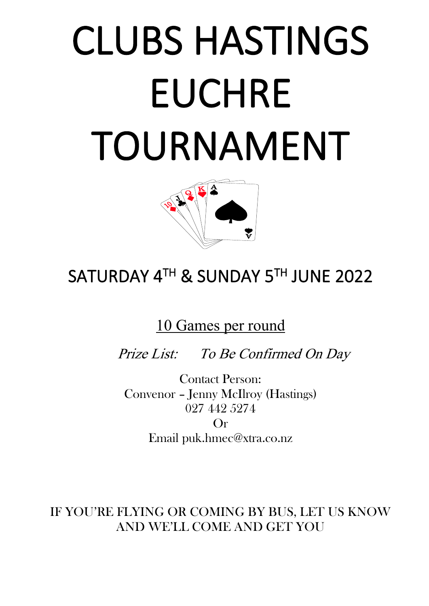# CLUBS HASTINGS EUCHRE TOURNAMENT



## SATURDAY 4TH & SUNDAY 5TH JUNE 2022

10 Games per round

Prize List: To Be Confirmed On Day

Contact Person: Convenor – Jenny McIlroy (Hastings) 027 442 5274

Or Email puk.hmec@xtra.co.nz

IF YOU'RE FLYING OR COMING BY BUS, LET US KNOW AND WE'LL COME AND GET YOU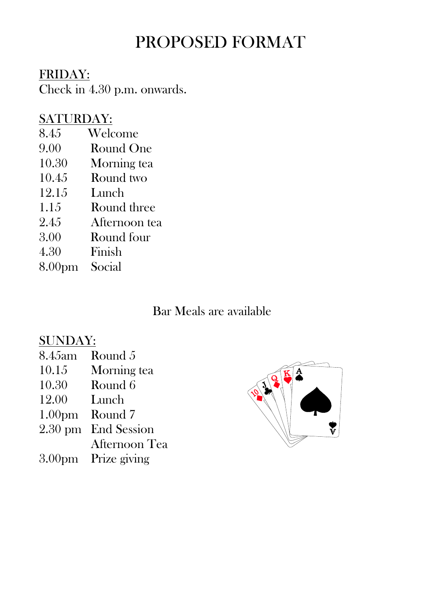### PROPOSED FORMAT

#### FRIDAY:

Check in 4.30 p.m. onwards.

#### SATURDAY:

- 8.45 Welcome
- 9.00 Round One
- 10.30 Morning tea
- 10.45 Round two
- 12.15 Lunch
- 1.15 Round three
- 2.45 Afternoon tea
- 3.00 Round four
- 4.30 Finish
- 8.00pm Social

#### Bar Meals are available

#### SUNDAY:

- 8.45am Round 5
- 10.15 Morning tea
- 10.30 Round 6
- 12.00 Lunch
- 1.00pm Round 7
- 2.30 pm End Session
- Afternoon Tea
- 3.00pm Prize giving